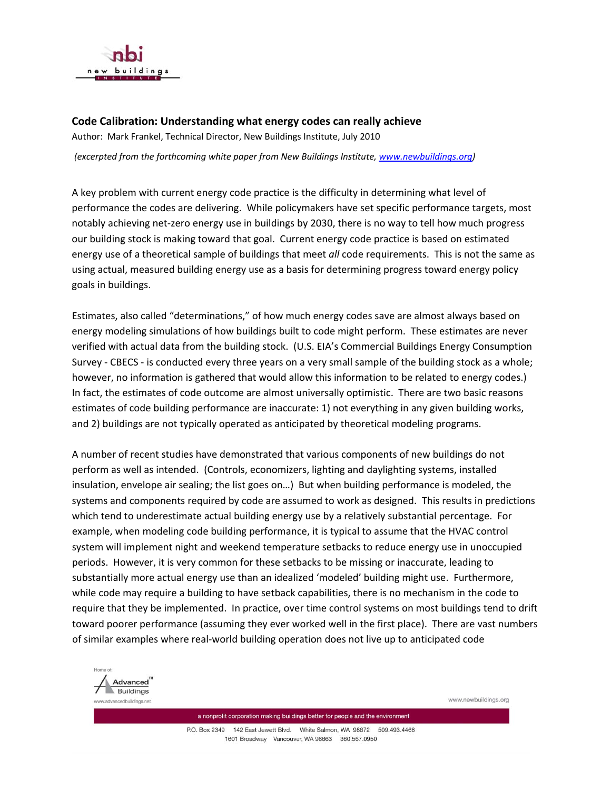

## **Code Calibration: Understanding what energy codes can really achieve**

Author: Mark Frankel, Technical Director, New Buildings Institute, July 2010

*(excerpted from the forthcoming white paper from New Buildings Institute, [www.newbuildings.org](http://www.newbuildings.org/))* 

A key problem with current energy code practice is the difficulty in determining what level of performance the codes are delivering. While policymakers have set specific performance targets, most notably achieving net‐zero energy use in buildings by 2030, there is no way to tell how much progress our building stock is making toward that goal. Current energy code practice is based on estimated energy use of a theoretical sample of buildings that meet *all* code requirements. This is not the same as using actual, measured building energy use as a basis for determining progress toward energy policy goals in buildings.

Estimates, also called "determinations," of how much energy codes save are almost always based on energy modeling simulations of how buildings built to code might perform. These estimates are never verified with actual data from the building stock. (U.S. EIA's Commercial Buildings Energy Consumption Survey ‐ CBECS ‐ is conducted every three years on a very small sample of the building stock as a whole; however, no information is gathered that would allow this information to be related to energy codes.) In fact, the estimates of code outcome are almost universally optimistic. There are two basic reasons estimates of code building performance are inaccurate: 1) not everything in any given building works, and 2) buildings are not typically operated as anticipated by theoretical modeling programs.

A number of recent studies have demonstrated that various components of new buildings do not perform as well as intended. (Controls, economizers, lighting and daylighting systems, installed insulation, envelope air sealing; the list goes on…) But when building performance is modeled, the systems and components required by code are assumed to work as designed. This results in predictions which tend to underestimate actual building energy use by a relatively substantial percentage. For example, when modeling code building performance, it is typical to assume that the HVAC control system will implement night and weekend temperature setbacks to reduce energy use in unoccupied periods. However, it is very common for these setbacks to be missing or inaccurate, leading to substantially more actual energy use than an idealized 'modeled' building might use. Furthermore, while code may require a building to have setback capabilities, there is no mechanism in the code to require that they be implemented. In practice, over time control systems on most buildings tend to drift toward poorer performance (assuming they ever worked well in the first place). There are vast numbers of similar examples where real‐world building operation does not live up to anticipated code



www.newbuildings.org

a nonprofit corporation making buildings better for people and the environment P.O. Box 2349 142 East Jewett Blvd. White Salmon, WA 98672 509.493.4468 1601 Broadway Vancouver, WA 98663 360.567.0950